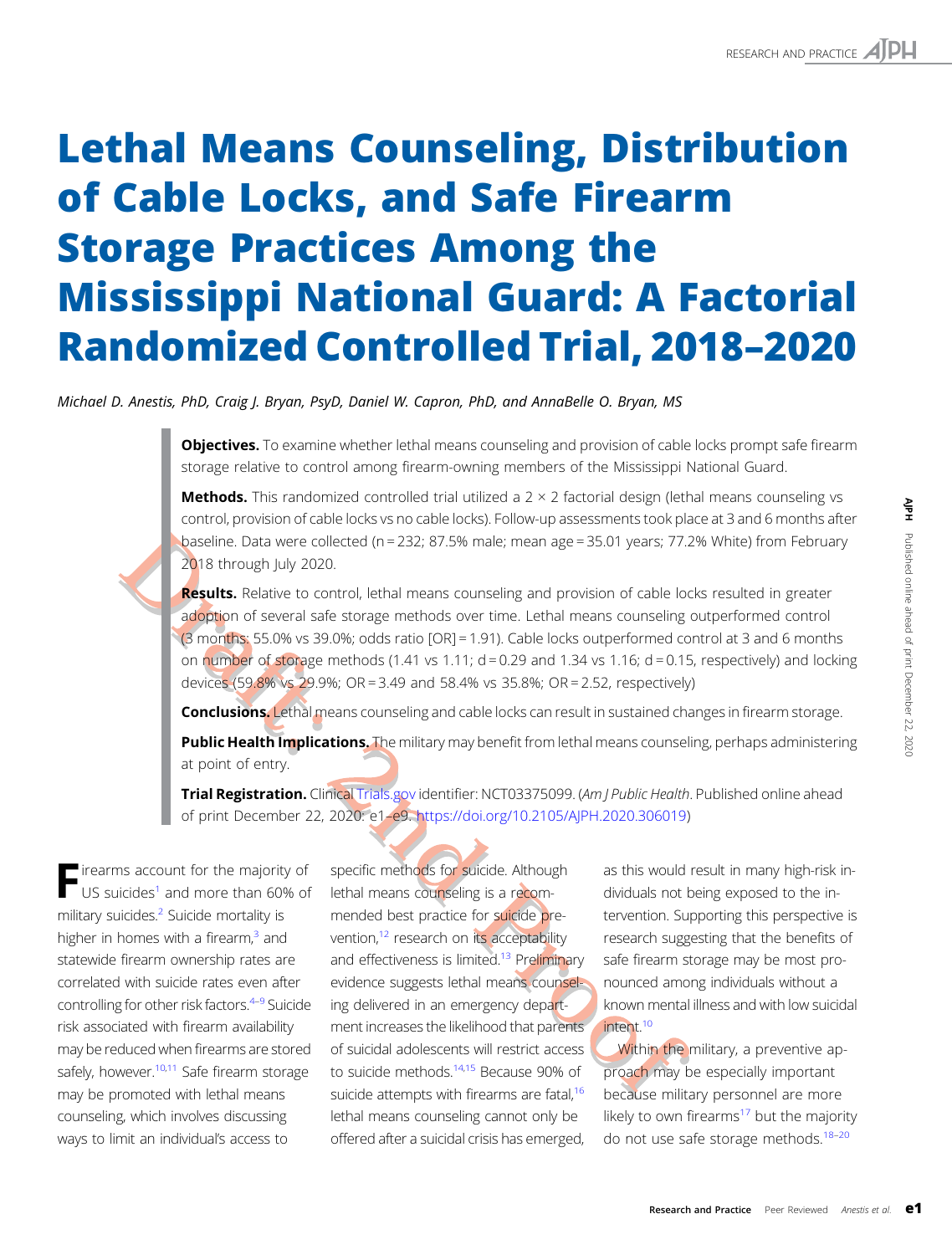# Lethal Means Counseling, Distribution of Cable Locks, and Safe Firearm Storage Practices Among the Mississippi National Guard: A Factorial Randomized Controlled Trial, 2018–2020

Michael D. Anestis, PhD, Craig J. Bryan, PsyD, Daniel W. Capron, PhD, and AnnaBelle O. Bryan, MS

Objectives. To examine whether lethal means counseling and provision of cable locks prompt safe firearm storage relative to control among firearm-owning members of the Mississippi National Guard.

**Methods.** This randomized controlled trial utilized a  $2 \times 2$  factorial design (lethal means counseling vs control, provision of cable locks vs no cable locks). Follow-up assessments took place at 3 and 6 months after baseline. Data were collected (n = 232; 87.5% male; mean age = 35.01 years; 77.2% White) from February 2018 through July 2020.

**Results.** Relative to control, lethal means counseling and provision of cable locks resulted in greater adoption of several safe storage methods over time. Lethal means counseling outperformed control (3 months: 55.0% vs 39.0%; odds ratio [OR] = 1.91). Cable locks outperformed control at 3 and 6 months on number of storage methods (1.41 vs 1.11;  $d = 0.29$  and 1.34 vs 1.16;  $d = 0.15$ , respectively) and locking devices (59.8% vs 29.9%; OR = 3.49 and 58.4% vs 35.8%; OR = 2.52, respectively)

**Conclusions.** Lethal means counseling and cable locks can result in sustained changes in firearm storage.

Public Health Implications. The military may benefit from lethal means counseling, perhaps administering at point of entry.

Trial Registration. Clinical [Trials.gov](http://Trials.gov) identifier: NCT03375099. (Am | Public Health. Published online ahead of print December 22, 2020: e1–e9. [https://doi.org/10.2105/AJPH.2020.306019\)](https://doi.org/10.2105/AJPH.2020.306019)

Firearms account for the majority of<br>US suicides<sup>[1](#page-7-0)</sup> and more than 60% of military suicides.<sup>[2](#page-7-0)</sup> Suicide mortality is higher in homes with a firearm, $3$  and statewide firearm ownership rates are correlated with suicide rates even after controlling for other risk factors.<sup>[4](#page-7-0)-[9](#page-8-0)</sup> Suicide risk associated with firearm availability may be reduced when firearms are stored safely, however.<sup>[10,11](#page-8-0)</sup> Safe firearm storage may be promoted with lethal means counseling, which involves discussing ways to limit an individual's access to

specific methods for suicide. Although lethal means counseling is a recommended best practice for suicide prevention,<sup>12</sup> research on its acceptability and effectiveness is limited.<sup>13</sup> Preliminary evidence suggests lethal means counseling delivered in an emergency department increases the likelihood that parents of suicidal adolescents will restrict access to suicide methods.<sup>[14,15](#page-8-0)</sup> Because 90% of suicide attempts with firearms are fatal,<sup>16</sup> lethal means counseling cannot only be offered after a suicidal crisis has emerged,

as this would result in many high-risk individuals not being exposed to the intervention. Supporting this perspective is research suggesting that the benefits of safe firearm storage may be most pronounced among individuals without a known mental illness and with low suicidal intent<sup>[10](#page-8-0)</sup> Entitlectual metals courseling vs<br>
Sook place at 3 and 6 months after<br>
signing outperformed control<br>
and control at 3 and 6 months<br>
and control at 3 and 6 months<br>
and control at 3 and 6 months<br>
and control at 3 and 6 mont

Within the military, a preventive approach may be especially important because military personnel are more likely to own firearms $17$  but the majority do not use safe storage methods.<sup>[18](#page-8-0)-[20](#page-8-0)</sup>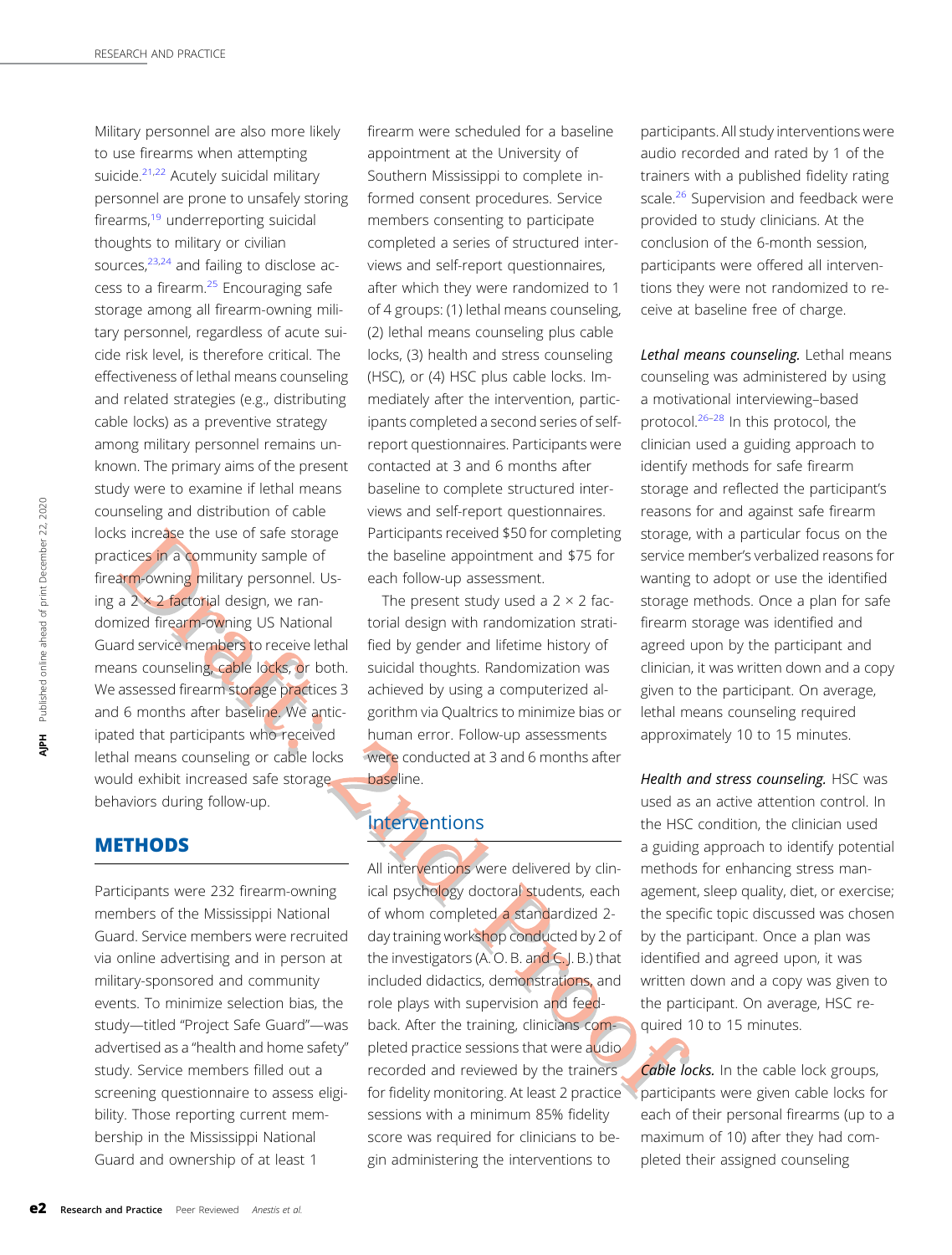Military personnel are also more likely to use firearms when attempting suicide.<sup>[21](#page-8-0),[22](#page-8-0)</sup> Acutely suicidal military personnel are prone to unsafely storing firearms,<sup>[19](#page-8-0)</sup> underreporting suicidal thoughts to military or civilian sources, $23,24$  and failing to disclose ac-cess to a firearm.<sup>[25](#page-8-0)</sup> Encouraging safe storage among all firearm-owning military personnel, regardless of acute suicide risk level, is therefore critical. The effectiveness of lethal means counseling and related strategies (e.g., distributing cable locks) as a preventive strategy among military personnel remains unknown. The primary aims of the present study were to examine if lethal means counseling and distribution of cable locks increase the use of safe storage practices in a community sample of firearm-owning military personnel. Using a  $2 \times 2$  factorial design, we randomized firearm-owning US National Guard service members to receive lethal means counseling, cable locks, or both. We assessed firearm storage practices 3 and 6 months after baseline. We anticipated that participants who received lethal means counseling or cable locks would exhibit increased safe storage behaviors during follow-up.

## **METHODS**

Participants were 232 firearm-owning members of the Mississippi National Guard. Service members were recruited via online advertising and in person at military-sponsored and community events. To minimize selection bias, the study—titled "Project Safe Guard"—was advertised as a "health and home safety" study. Service members filled out a screening questionnaire to assess eligibility. Those reporting current membership in the Mississippi National Guard and ownership of at least 1

firearm were scheduled for a baseline appointment at the University of Southern Mississippi to complete informed consent procedures. Service members consenting to participate completed a series of structured interviews and self-report questionnaires, after which they were randomized to 1 of 4 groups: (1) lethal means counseling, (2) lethal means counseling plus cable locks, (3) health and stress counseling (HSC), or (4) HSC plus cable locks. Immediately after the intervention, participants completed a second series of selfreport questionnaires. Participants were contacted at 3 and 6 months after baseline to complete structured interviews and self-report questionnaires. Participants received \$50 for completing the baseline appointment and \$75 for each follow-up assessment.

The present study used a  $2 \times 2$  factorial design with randomization stratified by gender and lifetime history of suicidal thoughts. Randomization was achieved by using a computerized algorithm via Qualtrics to minimize bias or human error. Follow-up assessments were conducted at 3 and 6 months after baseline.

## Interventions

All interventions were delivered by clinical psychology doctoral students, each of whom completed a standardized 2day training workshop conducted by 2 of the investigators (A. O. B. and C. J. B.) that included didactics, demonstrations, and role plays with supervision and feedback. After the training, clinicians completed practice sessions that were audio recorded and reviewed by the trainers for fidelity monitoring. At least 2 practice sessions with a minimum 85% fidelity score was required for clinicians to begin administering the interventions to

participants. All study interventions were audio recorded and rated by 1 of the trainers with a published fidelity rating scale.<sup>[26](#page-8-0)</sup> Supervision and feedback were provided to study clinicians. At the conclusion of the 6-month session, participants were offered all interventions they were not randomized to receive at baseline free of charge.

Lethal means counseling. Lethal means counseling was administered by using a motivational interviewing–based protocol.[26](#page-8-0)–[28](#page-8-0) In this protocol, the clinician used a guiding approach to identify methods for safe firearm storage and reflected the participant's reasons for and against safe firearm storage, with a particular focus on the service member's verbalized reasons for wanting to adopt or use the identified storage methods. Once a plan for safe firearm storage was identified and agreed upon by the participant and clinician, it was written down and a copy given to the participant. On average, lethal means counseling required approximately 10 to 15 minutes.

Health and stress counseling. HSC was used as an active attention control. In the HSC condition, the clinician used a guiding approach to identify potential methods for enhancing stress management, sleep quality, diet, or exercise; the specific topic discussed was chosen by the participant. Once a plan was identified and agreed upon, it was written down and a copy was given to the participant. On average, HSC required 10 to 15 minutes.

Cable locks. In the cable lock groups, participants were given cable locks for each of their personal firearms (up to a maximum of 10) after they had completed their assigned counseling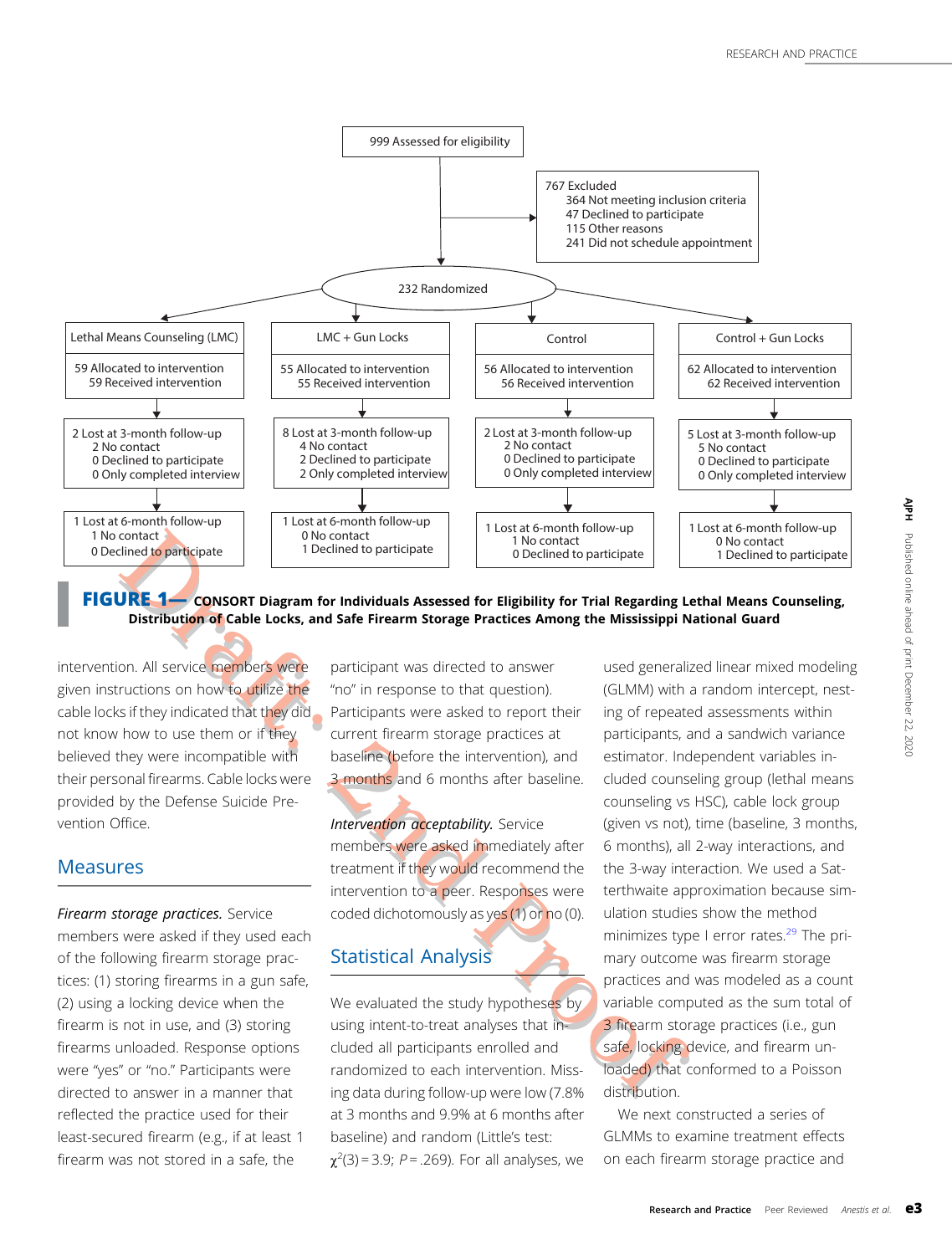<span id="page-2-0"></span>

FIGURE 1— CONSORT Diagram for Individuals Assessed for Eligibility for Trial Regarding Lethal Means Counseling, Distribution of Cable Locks, and Safe Firearm Storage Practices Among the Mississippi National Guard

intervention. All service members were given instructions on how to utilize the cable locks if they indicated that they did not know how to use them or if they believed they were incompatible with their personal firearms. Cable locks were provided by the Defense Suicide Prevention Office.

#### **Measures**

Firearm storage practices. Service members were asked if they used each of the following firearm storage practices: (1) storing firearms in a gun safe, (2) using a locking device when the firearm is not in use, and (3) storing firearms unloaded. Response options were "yes" or "no." Participants were directed to answer in a manner that reflected the practice used for their least-secured firearm (e.g., if at least 1 firearm was not stored in a safe, the

participant was directed to answer "no" in response to that question). Participants were asked to report their current firearm storage practices at baseline (before the intervention), and 3 months and 6 months after baseline.

Intervention acceptability. Service members were asked immediately after treatment if they would recommend the intervention to a peer. Responses were coded dichotomously as yes (1) or no (0).

# Statistical Analysis

We evaluated the study hypotheses by using intent-to-treat analyses that included all participants enrolled and randomized to each intervention. Missing data during follow-up were low (7.8% at 3 months and 9.9% at 6 months after baseline) and random (Little's test:  $\chi^2(3)$  = 3.9; P = .269). For all analyses, we

used generalized linear mixed modeling (GLMM) with a random intercept, nesting of repeated assessments within participants, and a sandwich variance estimator. Independent variables included counseling group (lethal means counseling vs HSC), cable lock group (given vs not), time (baseline, 3 months, 6 months), all 2-way interactions, and the 3-way interaction. We used a Satterthwaite approximation because simulation studies show the method minimizes type I error rates. $29$  The primary outcome was firearm storage practices and was modeled as a count variable computed as the sum total of 3 firearm storage practices (i.e., gun safe, locking device, and firearm unloaded) that conformed to a Poisson distribution.

We next constructed a series of GLMMs to examine treatment effects on each firearm storage practice and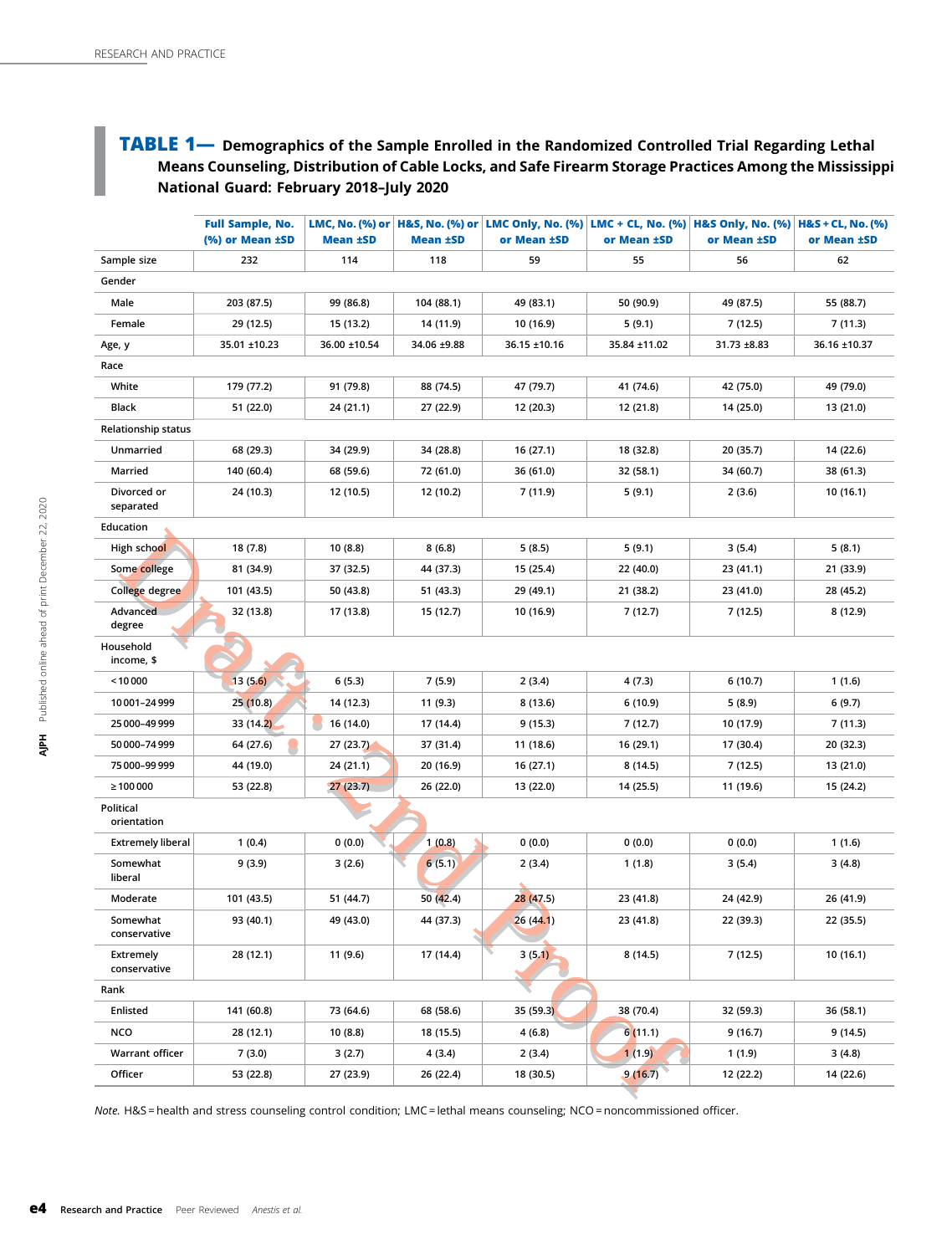## <span id="page-3-0"></span>TABLE 1— Demographics of the Sample Enrolled in the Randomized Controlled Trial Regarding Lethal Means Counseling, Distribution of Cable Locks, and Safe Firearm Storage Practices Among the Mississippi National Guard: February 2018–July 2020

|                            | <b>Full Sample, No.</b><br>(%) or Mean ±SD | <b>Mean ±SD</b> |             | LMC, No. (%) or $ {\text{H\&S}}, {\text{No. (%)}}$ or $ {\text{LMC Only}}, {\text{No. (%)}} {\text{LMC + CL}}, {\text{No. (%)}} {\text{H\&S Only}}, {\text{No. (%)}} $<br>or Mean ±SD | or Mean ±SD  | or Mean ±SD | $H&S + CL$ , No. (%)<br>or Mean ±SD |  |  |  |  |
|----------------------------|--------------------------------------------|-----------------|-------------|---------------------------------------------------------------------------------------------------------------------------------------------------------------------------------------|--------------|-------------|-------------------------------------|--|--|--|--|
| Sample size                | 232                                        | 114             | 118         | 59                                                                                                                                                                                    | 55           | 56          | 62                                  |  |  |  |  |
| Gender                     |                                            |                 |             |                                                                                                                                                                                       |              |             |                                     |  |  |  |  |
| Male                       | 203 (87.5)                                 | 99 (86.8)       | 104 (88.1)  | 49 (83.1)                                                                                                                                                                             | 50 (90.9)    | 49 (87.5)   | 55 (88.7)                           |  |  |  |  |
| Female                     | 29 (12.5)                                  | 15 (13.2)       | 14 (11.9)   | 10 (16.9)                                                                                                                                                                             | 5(9.1)       | 7 (12.5)    | 7(11.3)                             |  |  |  |  |
| Age, y                     | 35.01 ±10.23                               | 36.00 ±10.54    | 34.06 ±9.88 | 36.15 ±10.16                                                                                                                                                                          | 35.84 ±11.02 | 31.73 ±8.83 | 36.16 ±10.37                        |  |  |  |  |
| Race                       |                                            |                 |             |                                                                                                                                                                                       |              |             |                                     |  |  |  |  |
| White                      | 179 (77.2)                                 | 91 (79.8)       | 88 (74.5)   | 47 (79.7)                                                                                                                                                                             | 41 (74.6)    | 42 (75.0)   | 49 (79.0)                           |  |  |  |  |
| Black                      | 51 (22.0)                                  | 24 (21.1)       | 27 (22.9)   | 12 (20.3)                                                                                                                                                                             | 12 (21.8)    | 14 (25.0)   | 13 (21.0)                           |  |  |  |  |
| <b>Relationship status</b> |                                            |                 |             |                                                                                                                                                                                       |              |             |                                     |  |  |  |  |
| Unmarried                  | 68 (29.3)                                  | 34 (29.9)       | 34 (28.8)   | 16 (27.1)                                                                                                                                                                             | 18 (32.8)    | 20 (35.7)   | 14 (22.6)                           |  |  |  |  |
| Married                    | 140 (60.4)                                 | 68 (59.6)       | 72 (61.0)   | 36 (61.0)<br>32 (58.1)                                                                                                                                                                |              | 34 (60.7)   | 38 (61.3)                           |  |  |  |  |
| Divorced or<br>separated   | 24 (10.3)                                  | 12 (10.5)       | 12 (10.2)   | 7 (11.9)                                                                                                                                                                              | 5(9.1)       | 2(3.6)      | 10(16.1)                            |  |  |  |  |
| Education                  |                                            |                 |             |                                                                                                                                                                                       |              |             |                                     |  |  |  |  |
| High school                | 18 (7.8)                                   | 10 (8.8)        | 8(6.8)      | 5(8.5)                                                                                                                                                                                | 5 (9.1)      | 3(5.4)      | 5(8.1)                              |  |  |  |  |
| Some college               | 81 (34.9)                                  | 37 (32.5)       | 44 (37.3)   | 15 (25.4)                                                                                                                                                                             | 22 (40.0)    | 23 (41.1)   | 21 (33.9)                           |  |  |  |  |
| College degree             | 101 (43.5)                                 | 50 (43.8)       | 51 (43.3)   | 29 (49.1)                                                                                                                                                                             | 21 (38.2)    | 23 (41.0)   | 28 (45.2)                           |  |  |  |  |
| Advanced<br>degree         | 32 (13.8)                                  | 17 (13.8)       | 15 (12.7)   | 10 (16.9)                                                                                                                                                                             | 7(12.7)      | 7 (12.5)    | 8 (12.9)                            |  |  |  |  |
| Household<br>income, \$    |                                            |                 |             |                                                                                                                                                                                       |              |             |                                     |  |  |  |  |
| < 10000                    | 13(5.6)                                    | 6(5.3)          | 7(5.9)      | 2(3.4)                                                                                                                                                                                | 4(7.3)       | 6(10.7)     | 1(1.6)                              |  |  |  |  |
| 10001-24999                | 25 (10.8)                                  | 14 (12.3)       | 11 (9.3)    | 8 (13.6)                                                                                                                                                                              | 6 (10.9)     | 5(8.9)      | 6(9.7)                              |  |  |  |  |
| 25 000-49 999              | 33 (14.2)                                  | 16 (14.0)       | 17 (14.4)   | 9 (15.3)                                                                                                                                                                              | 7 (12.7)     | 10 (17.9)   | 7 (11.3)                            |  |  |  |  |
| 50 000-74 999              | 64 (27.6)                                  | 27 (23.7)       | 37 (31.4)   | 11 (18.6)                                                                                                                                                                             | 16 (29.1)    | 17 (30.4)   | 20 (32.3)                           |  |  |  |  |
| 75 000-99 999              | 44 (19.0)                                  | 24 (21.1)       | 20 (16.9)   | 16 (27.1)                                                                                                                                                                             | 8 (14.5)     | 7 (12.5)    | 13 (21.0)                           |  |  |  |  |
| $\geq 100000$              | 53 (22.8)                                  | 27(23.7)        | 26 (22.0)   | 13 (22.0)                                                                                                                                                                             | 14 (25.5)    | 11 (19.6)   | 15 (24.2)                           |  |  |  |  |
| Political<br>orientation   |                                            |                 |             |                                                                                                                                                                                       |              |             |                                     |  |  |  |  |
| <b>Extremely liberal</b>   | 1(0.4)                                     | 0(0.0)          | 1(0.8)      | 0(0.0)                                                                                                                                                                                | 0(0.0)       | 0(0.0)      | 1(1.6)                              |  |  |  |  |
| Somewhat<br>liberal        | 9 (3.9)                                    | 3(2.6)          | 6(5.1)      | 2(3.4)                                                                                                                                                                                | 1(1.8)       | 3 (5.4)     | 3(4.8)                              |  |  |  |  |
| Moderate                   | 101 (43.5)                                 | 51 (44.7)       | 50 (42.4)   | 28 (47.5)                                                                                                                                                                             | 23 (41.8)    | 24 (42.9)   | 26 (41.9)                           |  |  |  |  |
| Somewhat<br>conservative   | 93 (40.1)                                  | 49 (43.0)       | 44 (37.3)   | 26 (44.1)                                                                                                                                                                             | 23 (41.8)    | 22 (39.3)   | 22 (35.5)                           |  |  |  |  |
| Extremely<br>conservative  | 28 (12.1)                                  | 11 (9.6)        | 17 (14.4)   | 3(5.1)                                                                                                                                                                                | 8(14.5)      | 7(12.5)     | 10(16.1)                            |  |  |  |  |
| Rank                       |                                            |                 |             |                                                                                                                                                                                       |              |             |                                     |  |  |  |  |
| Enlisted                   | 141 (60.8)                                 | 73 (64.6)       | 68 (58.6)   | 35 (59.3)                                                                                                                                                                             | 38 (70.4)    | 32 (59.3)   | 36 (58.1)                           |  |  |  |  |
| <b>NCO</b>                 | 28 (12.1)                                  | 10 (8.8)        | 18 (15.5)   | 4(6.8)                                                                                                                                                                                | 6(11.1)      | 9(16.7)     | 9(14.5)                             |  |  |  |  |
| <b>Warrant officer</b>     | 7(3.0)                                     | 3(2.7)          | 4 (3.4)     | 2 (3.4)                                                                                                                                                                               | 1(1.9)       | 1 (1.9)     | 3(4.8)                              |  |  |  |  |
| Officer                    | 53 (22.8)                                  | 27 (23.9)       | 26 (22.4)   | 18 (30.5)                                                                                                                                                                             | 9(16.7)      | 12 (22.2)   | 14 (22.6)                           |  |  |  |  |

Note. H&S = health and stress counseling control condition; LMC = lethal means counseling; NCO = noncommissioned officer.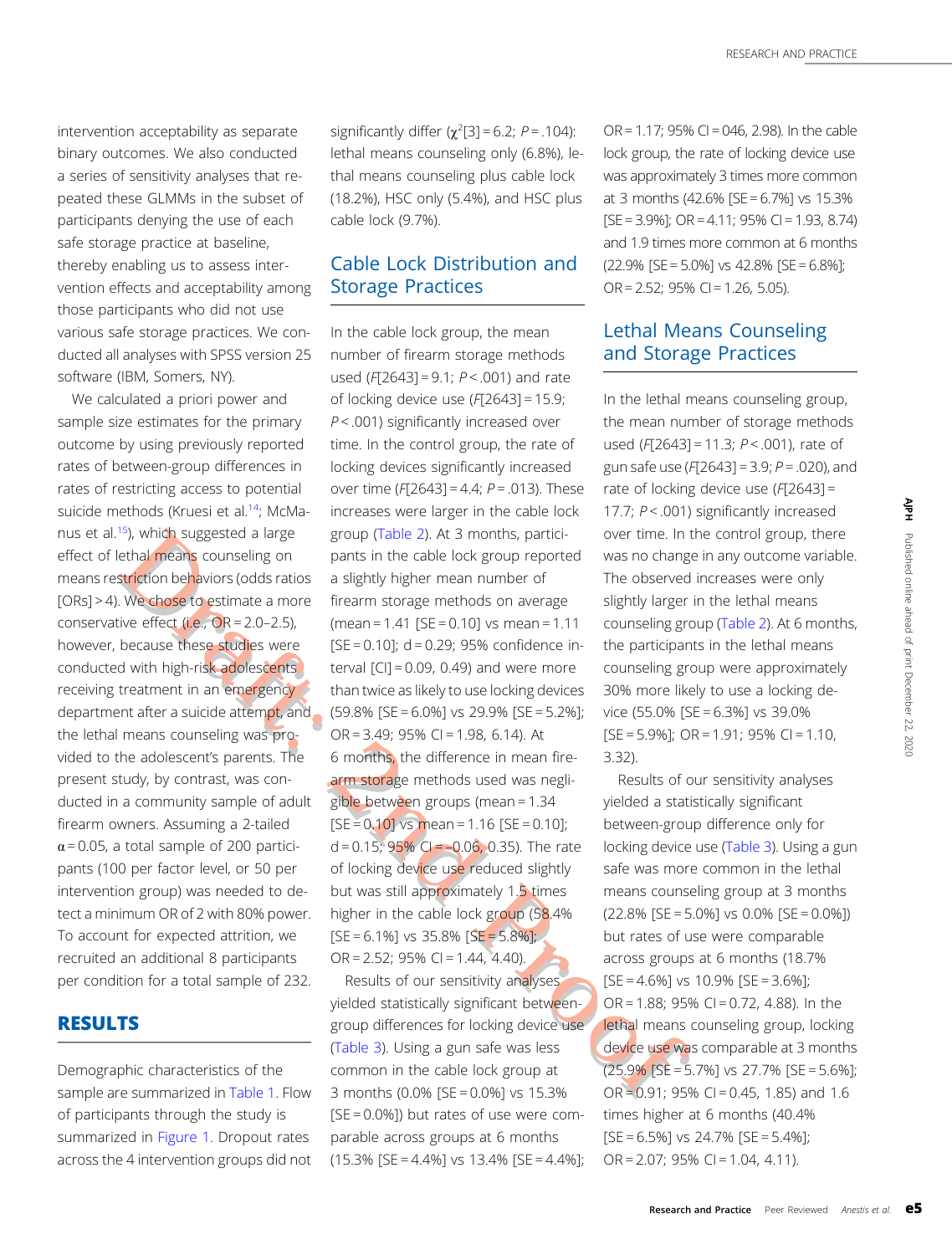올

Published

online ahead of print

December

22, 2020

intervention acceptability as separate binary outcomes. We also conducted a series of sensitivity analyses that repeated these GLMMs in the subset of participants denying the use of each safe storage practice at baseline, thereby enabling us to assess intervention effects and acceptability among those participants who did not use various safe storage practices. We conducted all analyses with SPSS version 25 software (IBM, Somers, NY).

We calculated a priori power and sample size estimates for the primary outcome by using previously reported rates of between-group differences in rates of restricting access to potential suicide methods (Kruesi et al.<sup>14</sup>; McManus et al.<sup>15</sup>), which suggested a large effect of lethal means counseling on means restriction behaviors (odds ratios [ORs] > 4). We chose to estimate a more conservative effect  $(i.e., OR = 2.0-2.5)$ , however, because these studies were conducted with high-risk adolescents receiving treatment in an emergency department after a suicide attempt, and the lethal means counseling was provided to the adolescent's parents. The present study, by contrast, was conducted in a community sample of adult firearm owners. Assuming a 2-tailed  $\alpha$  = 0.05, a total sample of 200 participants (100 per factor level, or 50 per intervention group) was needed to detect a minimum OR of 2 with 80% power. To account for expected attrition, we recruited an additional 8 participants per condition for a total sample of 232.

## RESULTS

Demographic characteristics of the sample are summarized in [Table 1.](#page-3-0) Flow of participants through the study is summarized in [Figure 1](#page-2-0). Dropout rates across the 4 intervention groups did not

significantly differ  $(\chi^2[3] = 6.2; P = .104)$ : lethal means counseling only (6.8%), lethal means counseling plus cable lock (18.2%), HSC only (5.4%), and HSC plus cable lock (9.7%).

## Cable Lock Distribution and Storage Practices

In the cable lock group, the mean number of firearm storage methods used ( $F$ [2643] = 9.1;  $P$  < .001) and rate of locking device use (F[2643] = 15.9; P < .001) significantly increased over time. In the control group, the rate of locking devices significantly increased over time ( $F[2643] = 4.4$ ;  $P = .013$ ). These increases were larger in the cable lock group ([Table 2](#page-5-0)). At 3 months, participants in the cable lock group reported a slightly higher mean number of firearm storage methods on average (mean = 1.41 [SE = 0.10] vs mean = 1.11  $[SE = 0.10]$ ; d = 0.29; 95% confidence interval  $\lceil$ CI] = 0.09, 0.49) and were more than twice as likely to use locking devices (59.8% [SE = 6.0%] vs 29.9% [SE = 5.2%]; OR = 3.49; 95% CI = 1.98, 6.14). At 6 months, the difference in mean firearm storage methods used was negligible between groups (mean = 1.34  $[SE = 0.10]$  vs mean = 1.16  $[SE = 0.10]$ ;  $d = 0.15$ ; 95% CI = -0.06, 0.35). The rate of locking device use reduced slightly but was still approximately 1.5 times higher in the cable lock group (58.4%  $[SE = 6.1\%]$  vs 35.8%  $[SE = 5.8\%]$ ; OR = 2.52; 95% CI = 1.44, 4.40).

Results of our sensitivity analyses yielded statistically significant betweengroup differences for locking device use ([Table 3](#page-6-0)). Using a gun safe was less common in the cable lock group at 3 months (0.0% [SE = 0.0%] vs 15.3%  $[SE = 0.0\%]$ ) but rates of use were comparable across groups at 6 months  $(15.3\%$  [SE = 4.4%] vs 13.4% [SE = 4.4%];

OR = 1.17; 95% CI = 046, 2.98). In the cable lock group, the rate of locking device use was approximately 3 times more common at 3 months (42.6% [SE = 6.7%] vs 15.3%  $[SE = 3.9\%]$ ; OR = 4.11; 95% CI = 1.93, 8.74) and 1.9 times more common at 6 months  $(22.9\%$  [SE = 5.0%] vs 42.8% [SE = 6.8%]; OR = 2.52; 95% CI = 1.26, 5.05).

## Lethal Means Counseling and Storage Practices

In the lethal means counseling group, the mean number of storage methods used ( $F$ [2643] = 11.3;  $P$  < .001), rate of gun safe use ( $F[2643] = 3.9; P = .020$ ), and rate of locking device use  $(F[2643] =$ 17.7;  $P < .001$ ) significantly increased over time. In the control group, there was no change in any outcome variable. The observed increases were only slightly larger in the lethal means counseling group ([Table 2](#page-5-0)). At 6 months, the participants in the lethal means counseling group were approximately 30% more likely to use a locking device (55.0% [SE = 6.3%] vs 39.0%  $[SE = 5.9\%]$ ; OR = 1.91; 95% CI = 1.10, 3.32).

Results of our sensitivity analyses yielded a statistically significant between-group difference only for locking device use ([Table 3\)](#page-6-0). Using a gun safe was more common in the lethal means counseling group at 3 months  $(22.8\%$  [SE = 5.0%] vs 0.0% [SE = 0.0%]) but rates of use were comparable across groups at 6 months (18.7%  $[SE = 4.6\%]$  vs 10.9%  $[SE = 3.6\%]$ ;  $OR = 1.88$ ; 95% CI = 0.72, 4.88). In the lethal means counseling group, locking device use was comparable at 3 months  $(25.9\%$  [SE = 5.7%] vs 27.7% [SE = 5.6%];  $OR = 0.91$ ; 95% CI = 0.45, 1.85) and 1.6 times higher at 6 months (40.4%  $[SE = 6.5\%]$  vs 24.7%  $[SE = 5.4\%]$ ; OR = 2.07; 95% CI = 1.04, 4.11).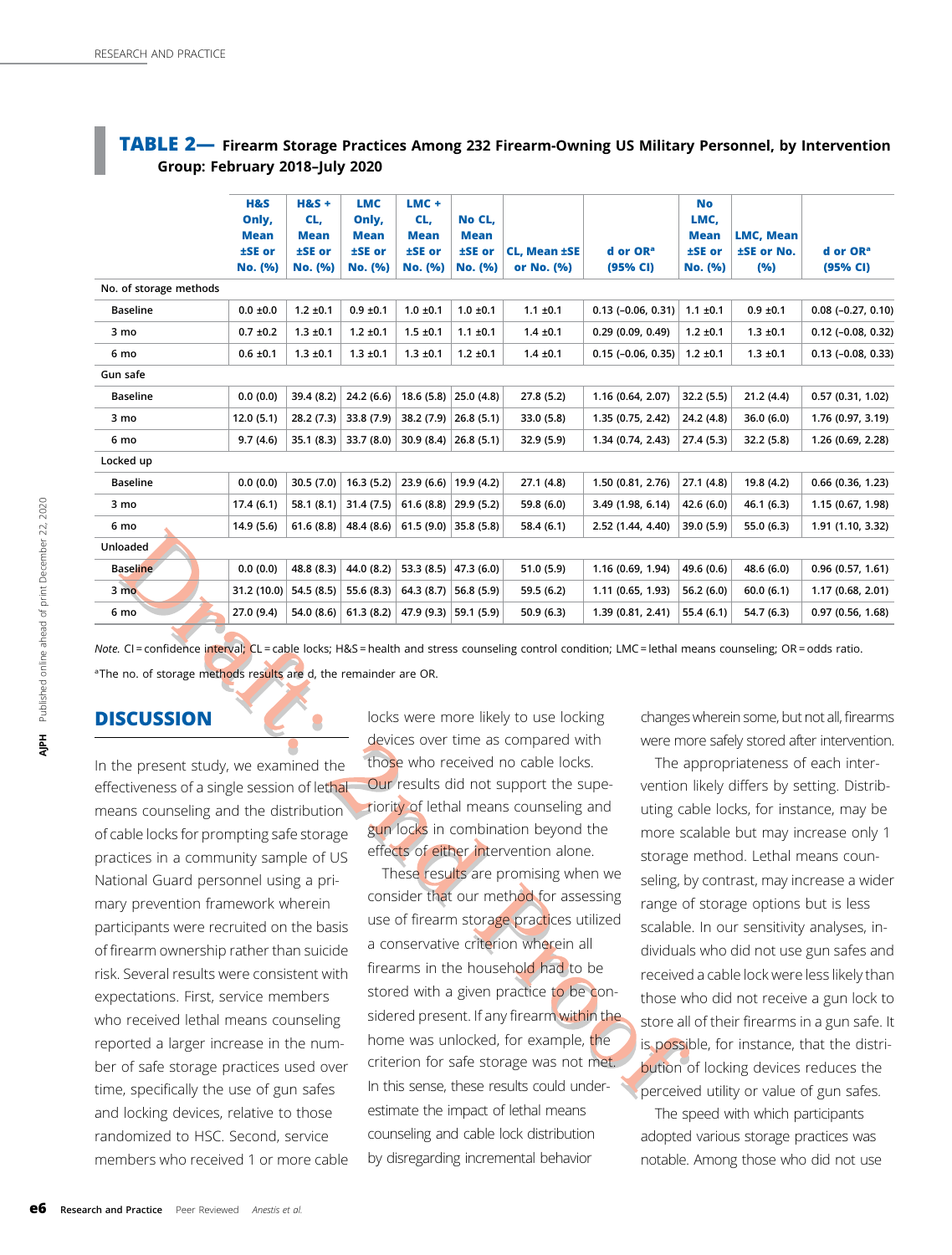#### <span id="page-5-0"></span>TABLE 2- Firearm Storage Practices Among 232 Firearm-Owning US Military Personnel, by Intervention Group: February 2018–July 2020

|                        | H&S<br>Only,<br><b>Mean</b><br>±SE or<br>No. (%) | $H&S +$<br>CL,<br><b>Mean</b><br>±SE or<br>No. (%) | <b>LMC</b><br>Only,<br><b>Mean</b><br>±SE or<br>No. (%) | $LMC +$<br>CL,<br><b>Mean</b><br>±SE or<br>No. (%) | No CL.<br><b>Mean</b><br>±SE or<br>No. (%) | <b>CL, Mean ±SE</b><br>or No. (%) | d or OR <sup>a</sup><br>(95% CI) | <b>No</b><br>LMC,<br><b>Mean</b><br>±SE or<br>No. (%) | <b>LMC, Mean</b><br>±SE or No.<br>(%) | d or OR <sup>a</sup><br>(95% CI) |
|------------------------|--------------------------------------------------|----------------------------------------------------|---------------------------------------------------------|----------------------------------------------------|--------------------------------------------|-----------------------------------|----------------------------------|-------------------------------------------------------|---------------------------------------|----------------------------------|
| No. of storage methods |                                                  |                                                    |                                                         |                                                    |                                            |                                   |                                  |                                                       |                                       |                                  |
| <b>Baseline</b>        | $0.0 \pm 0.0$                                    | $1.2 \pm 0.1$                                      | $0.9 \pm 0.1$                                           | $1.0 \pm 0.1$                                      | $1.0 \pm 0.1$                              | $1.1 \pm 0.1$                     | $0.13$ ( $-0.06$ , $0.31$ )      | $1.1 \pm 0.1$                                         | $0.9 \pm 0.1$                         | $0.08$ (-0.27, 0.10)             |
| 3 mo                   | $0.7 \pm 0.2$                                    | $1.3 \pm 0.1$                                      | $1.2 \pm 0.1$                                           | $1.5 \pm 0.1$                                      | $1.1 \pm 0.1$                              | $1.4 \pm 0.1$                     | 0.29(0.09, 0.49)                 | $1.2 \pm 0.1$                                         | $1.3 \pm 0.1$                         | $0.12$ (-0.08, 0.32)             |
| 6 mo                   | $0.6 \pm 0.1$                                    | $1.3 \pm 0.1$                                      | $1.3 \pm 0.1$                                           | $1.3 \pm 0.1$                                      | $1.2 \pm 0.1$                              | $1.4 \pm 0.1$                     | $0.15(-0.06, 0.35)$              | $1.2 \pm 0.1$                                         | $1.3 \pm 0.1$                         | $0.13$ ( $-0.08$ , $0.33$ )      |
| Gun safe               |                                                  |                                                    |                                                         |                                                    |                                            |                                   |                                  |                                                       |                                       |                                  |
| <b>Baseline</b>        | 0.0(0.0)                                         | 39.4 (8.2)                                         | 24.2(6.6)                                               | 18.6(5.8)                                          | 25.0(4.8)                                  | 27.8 (5.2)                        | 1.16 (0.64, 2.07)                | 32.2 (5.5)                                            | 21.2(4.4)                             | 0.57(0.31, 1.02)                 |
| 3 mo                   | 12.0(5.1)                                        | 28.2(7.3)                                          | 33.8 (7.9)                                              | 38.2 (7.9)                                         | 26.8(5.1)                                  | 33.0 (5.8)                        | 1.35 (0.75, 2.42)                | 24.2 (4.8)                                            | 36.0(6.0)                             | 1.76 (0.97, 3.19)                |
| 6 mo                   | 9.7(4.6)                                         | 35.1(8.3)                                          | 33.7(8.0)                                               |                                                    | 30.9 (8.4)   26.8 (5.1)                    | 32.9 (5.9)                        | 1.34 (0.74, 2.43)                | 27.4(5.3)                                             | 32.2 (5.8)                            | 1.26 (0.69, 2.28)                |
| Locked up              |                                                  |                                                    |                                                         |                                                    |                                            |                                   |                                  |                                                       |                                       |                                  |
| <b>Baseline</b>        | 0.0(0.0)                                         | 30.5(7.0)                                          | 16.3(5.2)                                               | 23.9(6.6)                                          | 19.9 (4.2)                                 | 27.1 (4.8)                        | 1.50 (0.81, 2.76)                | 27.1(4.8)                                             | 19.8 (4.2)                            | 0.66(0.36, 1.23)                 |
| 3 mo                   | 17.4(6.1)                                        | 58.1(8.1)                                          | 31.4(7.5)                                               |                                                    | $61.6(8.8)$ 29.9 (5.2)                     | 59.8 (6.0)                        | 3.49 (1.98, 6.14)                | 42.6 (6.0)                                            | 46.1(6.3)                             | 1.15 (0.67, 1.98)                |
| 6 mo                   | 14.9(5.6)                                        | 61.6(8.8)                                          | 48.4 (8.6)                                              |                                                    | $61.5(9.0)$ 35.8 (5.8)                     | 58.4 (6.1)                        | 2.52 (1.44, 4.40)                | 39.0 (5.9)                                            | 55.0 (6.3)                            | 1.91 (1.10, 3.32)                |
| Unloaded               |                                                  |                                                    |                                                         |                                                    |                                            |                                   |                                  |                                                       |                                       |                                  |
| <b>Baseline</b>        | 0.0(0.0)                                         | 48.8 (8.3)                                         | 44.0 (8.2)                                              | 53.3 $(8.5)$                                       | 47.3(6.0)                                  | 51.0(5.9)                         | 1.16 (0.69, 1.94)                | 49.6 (0.6)                                            | 48.6 (6.0)                            | 0.96(0.57, 1.61)                 |
| $3 \text{ mo}$         | 31.2 (10.0)                                      | 54.5(8.5)                                          | 55.6 (8.3)                                              | 64.3 (8.7)                                         | 56.8 (5.9)                                 | 59.5 (6.2)                        | 1.11 (0.65, 1.93)                | 56.2(6.0)                                             | 60.0(6.1)                             | 1.17(0.68, 2.01)                 |
| 6 mo                   | 27.0 (9.4)                                       | 54.0 (8.6)                                         | 61.3(8.2)                                               | 47.9 $(9.3)$                                       | 59.1 (5.9)                                 | 50.9(6.3)                         | 1.39 (0.81, 2.41)                | 55.4(6.1)                                             | 54.7 (6.3)                            | 0.97(0.56, 1.68)                 |
|                        |                                                  |                                                    |                                                         |                                                    |                                            |                                   |                                  |                                                       |                                       |                                  |

Note. CI = confidence interval; CL = cable locks; H&S = health and stress counseling control condition; LMC = lethal means counseling; OR = odds ratio. <sup>a</sup>The no. of storage methods results are d, the remainder are OR.

## DISCUSSION

In the present study, we examined the effectiveness of a single session of lethal means counseling and the distribution of cable locks for prompting safe storage practices in a community sample of US National Guard personnel using a primary prevention framework wherein participants were recruited on the basis of firearm ownership rather than suicide risk. Several results were consistent with expectations. First, service members who received lethal means counseling reported a larger increase in the number of safe storage practices used over time, specifically the use of gun safes and locking devices, relative to those randomized to HSC. Second, service members who received 1 or more cable locks were more likely to use locking devices over time as compared with those who received no cable locks. Our results did not support the superiority of lethal means counseling and gun locks in combination beyond the effects of either intervention alone.

These results are promising when we consider that our method for assessing use of firearm storage practices utilized a conservative criterion wherein all firearms in the household had to be stored with a given practice to be considered present. If any firearm within the home was unlocked, for example, the criterion for safe storage was not met. In this sense, these results could underestimate the impact of lethal means counseling and cable lock distribution by disregarding incremental behavior

changes wherein some, but not all, firearms were more safely stored after intervention.

The appropriateness of each intervention likely differs by setting. Distributing cable locks, for instance, may be more scalable but may increase only 1 storage method. Lethal means counseling, by contrast, may increase a wider range of storage options but is less scalable. In our sensitivity analyses, individuals who did not use gun safes and received a cable lock were less likely than those who did not receive a gun lock to store all of their firearms in a gun safe. It is possible, for instance, that the distribution of locking devices reduces the perceived utility or value of gun safes.

The speed with which participants adopted various storage practices was notable. Among those who did not use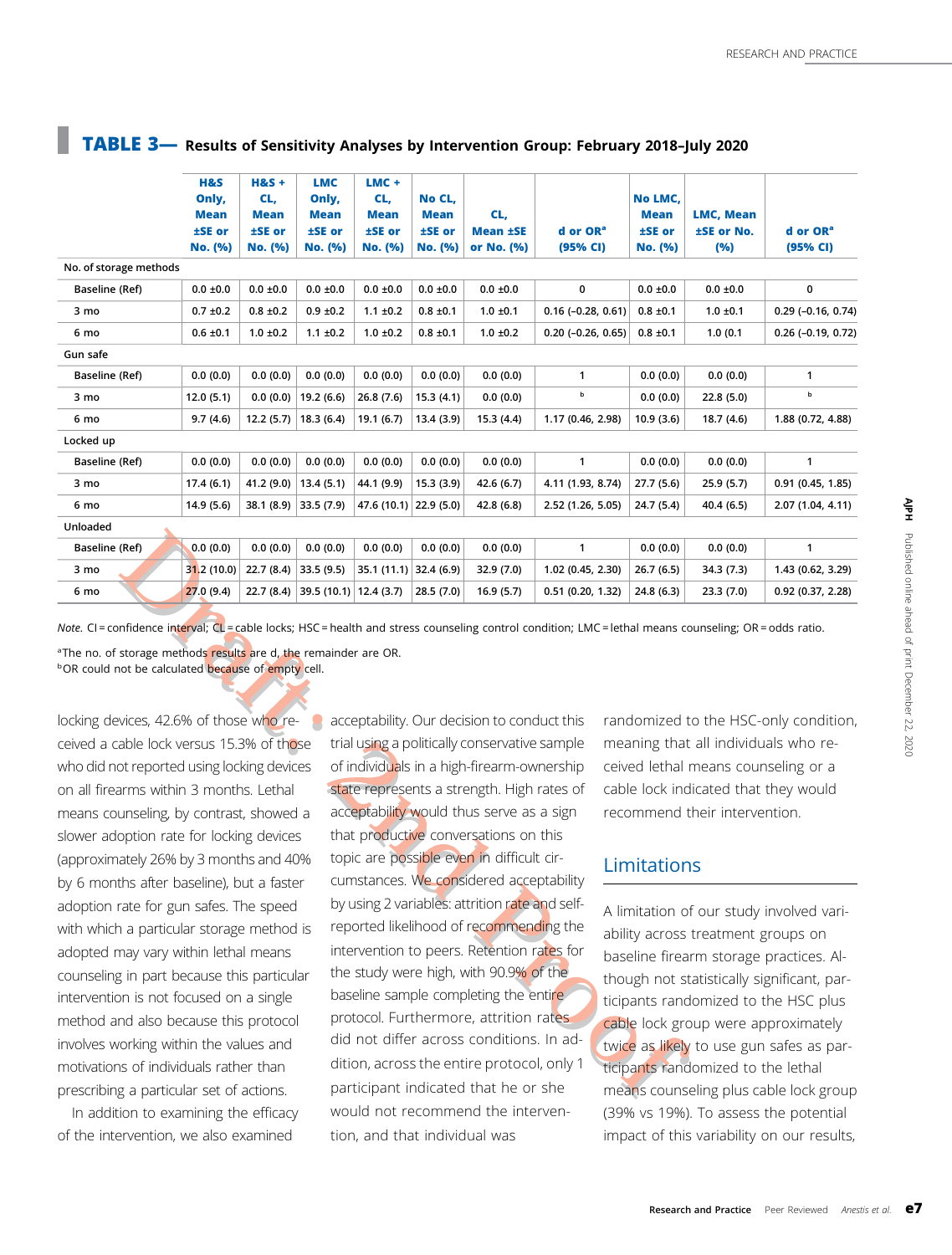|                        | <b>H&amp;S</b><br>Only,<br><b>Mean</b><br>±SE or<br>No. (%) | $H&S +$<br>CL,<br><b>Mean</b><br>±SE or<br>No. (%) | <b>LMC</b><br>Only,<br><b>Mean</b><br>±SE or<br>No. (%) | $LMC +$<br>CL,<br><b>Mean</b><br>±SE or<br>No. (%) | No CL.<br><b>Mean</b><br>±SE or<br>No. (%) | CL,<br><b>Mean ±SE</b><br>or No. (%) | d or OR <sup>a</sup><br>(95% CI) | No LMC.<br><b>Mean</b><br>±SE or<br>No. (%) | <b>LMC, Mean</b><br>±SE or No.<br>(%) | d or OR <sup>a</sup><br>(95% CI) |
|------------------------|-------------------------------------------------------------|----------------------------------------------------|---------------------------------------------------------|----------------------------------------------------|--------------------------------------------|--------------------------------------|----------------------------------|---------------------------------------------|---------------------------------------|----------------------------------|
| No. of storage methods |                                                             |                                                    |                                                         |                                                    |                                            |                                      |                                  |                                             |                                       |                                  |
| Baseline (Ref)         | $0.0 \pm 0.0$                                               | $0.0 \pm 0.0$                                      | $0.0 \pm 0.0$                                           | $0.0 \pm 0.0$                                      | $0.0 \pm 0.0$                              | $0.0 \pm 0.0$                        | 0                                | $0.0 \pm 0.0$                               | $0.0 \pm 0.0$                         | 0                                |
| 3 mo                   | $0.7 \pm 0.2$                                               | $0.8 \pm 0.2$                                      | $0.9 \pm 0.2$                                           | $1.1 \pm 0.2$                                      | $0.8 \pm 0.1$                              | $1.0 \pm 0.1$                        | $0.16$ (-0.28, 0.61)             | $0.8 \pm 0.1$                               | $1.0 \pm 0.1$                         | $0.29$ (-0.16, 0.74)             |
| 6 mo                   | $0.6 \pm 0.1$                                               | $1.0 \pm 0.2$                                      | $1.1 \pm 0.2$                                           | $1.0 \pm 0.2$                                      | $0.8 \pm 0.1$                              | $1.0 \pm 0.2$                        | $0.20$ ( $-0.26$ , $0.65$ )      | $0.8 \pm 0.1$                               | 1.0(0.1)                              | $0.26$ (-0.19, 0.72)             |
| Gun safe               |                                                             |                                                    |                                                         |                                                    |                                            |                                      |                                  |                                             |                                       |                                  |
| Baseline (Ref)         | 0.0(0.0)                                                    | 0.0(0.0)                                           | 0.0(0.0)                                                | 0.0(0.0)                                           | 0.0(0.0)                                   | 0.0(0.0)                             | 1                                | 0.0(0.0)                                    | 0.0(0.0)                              | $\mathbf{1}$                     |
| 3 mo                   | 12.0(5.1)                                                   | 0.0(0.0)                                           | 19.2 (6.6)                                              | 26.8(7.6)                                          | 15.3(4.1)                                  | 0.0(0.0)                             | b                                | 0.0(0.0)                                    | 22.8(5.0)                             | b                                |
| 6 mo                   | 9.7(4.6)                                                    | 12.2(5.7)                                          | 18.3(6.4)                                               | 19.1(6.7)                                          | 13.4(3.9)                                  | 15.3(4.4)                            | 1.17 (0.46, 2.98)                | 10.9(3.6)                                   | 18.7(4.6)                             | 1.88 (0.72, 4.88)                |
| Locked up              |                                                             |                                                    |                                                         |                                                    |                                            |                                      |                                  |                                             |                                       |                                  |
| Baseline (Ref)         | 0.0(0.0)                                                    | 0.0(0.0)                                           | 0.0(0.0)                                                | 0.0(0.0)                                           | 0.0(0.0)                                   | 0.0(0.0)                             | $\mathbf{1}$                     | 0.0(0.0)                                    | 0.0(0.0)                              | $\mathbf{1}$                     |
| 3 mo                   | 17.4(6.1)                                                   | 41.2 (9.0)                                         | 13.4(5.1)                                               | 44.1 (9.9)                                         | 15.3(3.9)                                  | 42.6(6.7)                            | 4.11 (1.93, 8.74)                | 27.7(5.6)                                   | 25.9(5.7)                             | 0.91(0.45, 1.85)                 |
| 6 mo                   | 14.9(5.6)                                                   | 38.1 (8.9)                                         | 33.5(7.9)                                               | 47.6 (10.1)                                        | 22.9(5.0)                                  | 42.8 (6.8)                           | 2.52 (1.26, 5.05)                | 24.7 (5.4)                                  | 40.4(6.5)                             | 2.07 (1.04, 4.11)                |
| Unloaded               |                                                             |                                                    |                                                         |                                                    |                                            |                                      |                                  |                                             |                                       |                                  |
| Baseline (Ref)         | 0.0(0.0)                                                    | 0.0(0.0)                                           | 0.0(0.0)                                                | 0.0(0.0)                                           | 0.0(0.0)                                   | 0.0(0.0)                             | $\mathbf{1}$                     | 0.0(0.0)                                    | 0.0(0.0)                              | $\mathbf{1}$                     |
| 3 mo                   | 31.2 (10.0)                                                 | 22.7(8.4)                                          | 33.5 (9.5)                                              | 35.1(11.1)                                         | 32.4(6.9)                                  | 32.9(7.0)                            | 1.02 (0.45, 2.30)                | 26.7(6.5)                                   | 34.3(7.3)                             | 1.43 (0.62, 3.29)                |
| 6 mo                   | 27.0(9.4)                                                   | 22.7(8.4)                                          | 39.5 $(10.1)$                                           | 12.4(3.7)                                          | 28.5(7.0)                                  | 16.9(5.7)                            | 0.51(0.20, 1.32)                 | 24.8(6.3)                                   | 23.3(7.0)                             | 0.92(0.37, 2.28)                 |
|                        |                                                             |                                                    |                                                         |                                                    |                                            |                                      |                                  |                                             |                                       |                                  |

## <span id="page-6-0"></span>TABLE 3— Results of Sensitivity Analyses by Intervention Group: February 2018–July 2020

Note. CI = confidence interval; CL = cable locks; HSC = health and stress counseling control condition; LMC = lethal means counseling; OR = odds ratio. <sup>a</sup>The no. of storage methods results are d, the remainder are OR.

**bOR could not be calculated because of empty cell.** 

locking devices, 42.6% of those who received a cable lock versus 15.3% of those who did not reported using locking devices on all firearms within 3 months. Lethal means counseling, by contrast, showed a slower adoption rate for locking devices (approximately 26% by 3 months and 40% by 6 months after baseline), but a faster adoption rate for gun safes. The speed with which a particular storage method is adopted may vary within lethal means counseling in part because this particular intervention is not focused on a single method and also because this protocol involves working within the values and motivations of individuals rather than prescribing a particular set of actions.

In addition to examining the efficacy of the intervention, we also examined

**a** acceptability. Our decision to conduct this trial using a politically conservative sample of individuals in a high-firearm-ownership state represents a strength. High rates of acceptability would thus serve as a sign that productive conversations on this topic are possible even in difficult circumstances. We considered acceptability by using 2 variables: attrition rate and selfreported likelihood of recommending the intervention to peers. Retention rates for the study were high, with 90.9% of the baseline sample completing the entire protocol. Furthermore, attrition rates did not differ across conditions. In addition, across the entire protocol, only 1 participant indicated that he or she would not recommend the intervention, and that individual was

randomized to the HSC-only condition, meaning that all individuals who received lethal means counseling or a cable lock indicated that they would recommend their intervention.

## Limitations

A limitation of our study involved variability across treatment groups on baseline firearm storage practices. Although not statistically significant, participants randomized to the HSC plus cable lock group were approximately twice as likely to use gun safes as participants randomized to the lethal means counseling plus cable lock group (39% vs 19%). To assess the potential impact of this variability on our results,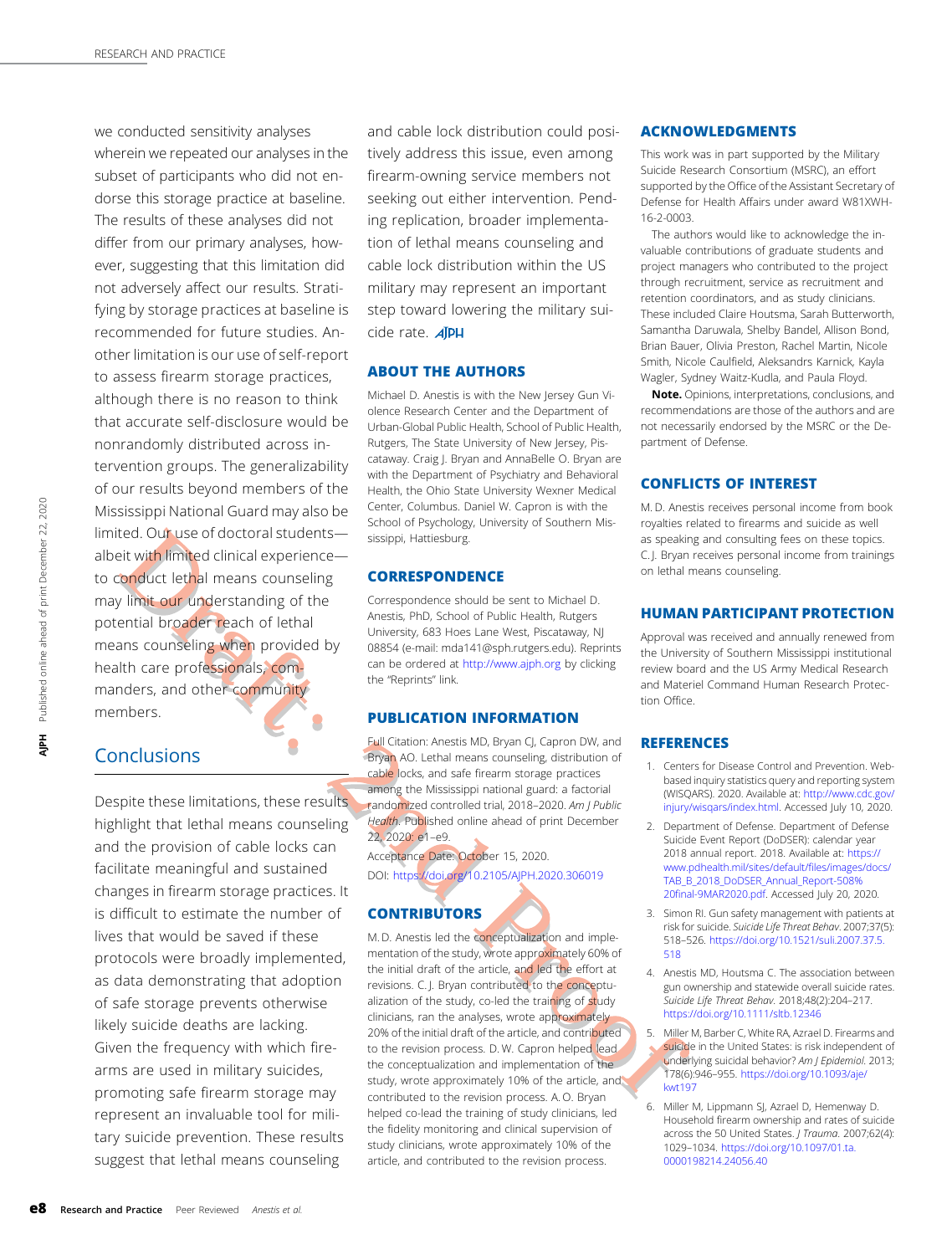<span id="page-7-0"></span>we conducted sensitivity analyses wherein we repeated our analyses in the subset of participants who did not endorse this storage practice at baseline. The results of these analyses did not differ from our primary analyses, however, suggesting that this limitation did not adversely affect our results. Stratifying by storage practices at baseline is recommended for future studies. Another limitation is our use of self-report to assess firearm storage practices, although there is no reason to think that accurate self-disclosure would be nonrandomly distributed across intervention groups. The generalizability of our results beyond members of the Mississippi National Guard may also be limited. Our use of doctoral students albeit with limited clinical experienceto conduct lethal means counseling may limit our understanding of the potential broader reach of lethal means counseling when provided by health care professionals, commanders, and other community members.

# **Conclusions**

Despite these limitations, these results highlight that lethal means counseling and the provision of cable locks can facilitate meaningful and sustained changes in firearm storage practices. It is difficult to estimate the number of lives that would be saved if these protocols were broadly implemented, as data demonstrating that adoption of safe storage prevents otherwise likely suicide deaths are lacking. Given the frequency with which firearms are used in military suicides, promoting safe firearm storage may represent an invaluable tool for military suicide prevention. These results suggest that lethal means counseling

and cable lock distribution could positively address this issue, even among firearm-owning service members not seeking out either intervention. Pending replication, broader implementation of lethal means counseling and cable lock distribution within the US military may represent an important step toward lowering the military suicide rate. **AIPH** 

#### ABOUT THE AUTHORS

Michael D. Anestis is with the New Jersey Gun Violence Research Center and the Department of Urban-Global Public Health, School of Public Health, Rutgers, The State University of New Jersey, Piscataway. Craig J. Bryan and AnnaBelle O. Bryan are with the Department of Psychiatry and Behavioral Health, the Ohio State University Wexner Medical Center, Columbus. Daniel W. Capron is with the School of Psychology, University of Southern Mississippi, Hattiesburg.

#### **CORRESPONDENCE**

Correspondence should be sent to Michael D. Anestis, PhD, School of Public Health, Rutgers University, 683 Hoes Lane West, Piscataway, NJ 08854 (e-mail: [mda141@sph.rutgers.edu](mailto:mda141@sph.rutgers.edu)). Reprints can be ordered at <http://www.ajph.org> by clicking the "Reprints" link.

#### PUBLICATION INFORMATION

Full Citation: Anestis MD, Bryan CJ, Capron DW, and Bryan AO. Lethal means counseling, distribution of cable locks, and safe firearm storage practices among the Mississippi national guard: a factorial randomized controlled trial, 2018–2020. Am J Public Health. Published online ahead of print December 22, 2020: e1–e9.

Acceptance Date: October 15, 2020. DOI: <https://doi.org/10.2105/AJPH.2020.306019>

#### **CONTRIBUTORS**

M. D. Anestis led the conceptualization and implementation of the study, wrote approximately 60% of the initial draft of the article, and led the effort at revisions. C. J. Bryan contributed to the conceptualization of the study, co-led the training of study clinicians, ran the analyses, wrote approximately 20% of the initial draft of the article, and contributed to the revision process. D. W. Capron helped lead the conceptualization and implementation of the study, wrote approximately 10% of the article, and contributed to the revision process. A. O. Bryan helped co-lead the training of study clinicians, led the fidelity monitoring and clinical supervision of study clinicians, wrote approximately 10% of the article, and contributed to the revision process.

#### ACKNOWLEDGMENTS

This work was in part supported by the Military Suicide Research Consortium (MSRC), an effort supported by the Office of the Assistant Secretary of Defense for Health Affairs under award W81XWH-16-2-0003.

The authors would like to acknowledge the invaluable contributions of graduate students and project managers who contributed to the project through recruitment, service as recruitment and retention coordinators, and as study clinicians. These included Claire Houtsma, Sarah Butterworth, Samantha Daruwala, Shelby Bandel, Allison Bond, Brian Bauer, Olivia Preston, Rachel Martin, Nicole Smith, Nicole Caulfield, Aleksandrs Karnick, Kayla Wagler, Sydney Waitz-Kudla, and Paula Floyd.

Note. Opinions, interpretations, conclusions, and recommendations are those of the authors and are not necessarily endorsed by the MSRC or the Department of Defense.

#### CONFLICTS OF INTEREST

M. D. Anestis receives personal income from book royalties related to firearms and suicide as well as speaking and consulting fees on these topics. C. J. Bryan receives personal income from trainings on lethal means counseling.

#### HUMAN PARTICIPANT PROTECTION

Approval was received and annually renewed from the University of Southern Mississippi institutional review board and the US Army Medical Research and Materiel Command Human Research Protection Office.

#### **REFERENCES**

- 1. Centers for Disease Control and Prevention. Webbased inquiry statistics query and reporting system (WISQARS). 2020. Available at: [http://www.cdc.gov/](http://www.cdc.gov/injury/wisqars/index.html) [injury/wisqars/index.html](http://www.cdc.gov/injury/wisqars/index.html). Accessed July 10, 2020.
- 2. Department of Defense. Department of Defense Suicide Event Report (DoDSER): calendar year 2018 annual report. 2018. Available at: [https://](https://www.pdhealth.mil/sites/default/files/images/docs/TAB_B_2018_DoDSER_Annual_Report-508%20final-9MAR2020.pdf) [www.pdhealth.mil/sites/default/](https://www.pdhealth.mil/sites/default/files/images/docs/TAB_B_2018_DoDSER_Annual_Report-508%20final-9MAR2020.pdf)files/images/docs/ [TAB\\_B\\_2018\\_DoDSER\\_Annual\\_Report-508%](https://www.pdhealth.mil/sites/default/files/images/docs/TAB_B_2018_DoDSER_Annual_Report-508%20final-9MAR2020.pdf) 20fi[nal-9MAR2020.pdf.](https://www.pdhealth.mil/sites/default/files/images/docs/TAB_B_2018_DoDSER_Annual_Report-508%20final-9MAR2020.pdf) Accessed July 20, 2020.
- 3. Simon RI. Gun safety management with patients at risk for suicide. Suicide Life Threat Behav. 2007;37(5): 518–526. [https://doi.org/10.1521/suli.2007.37.5.](https://doi.org/10.1521/suli.2007.37.5.518) [518](https://doi.org/10.1521/suli.2007.37.5.518)
- 4. Anestis MD, Houtsma C. The association between gun ownership and statewide overall suicide rates. Suicide Life Threat Behav. 2018;48(2):204–217. <https://doi.org/10.1111/sltb.12346>
- 5. Miller M, Barber C, White RA, Azrael D. Firearms and suicide in the United States: is risk independent of underlying suicidal behavior? Am J Epidemiol. 2013; 178(6):946–955. [https://doi.org/10.1093/aje/](https://doi.org/10.1093/aje/kwt197) [kwt197](https://doi.org/10.1093/aje/kwt197)
- 6. Miller M, Lippmann SJ, Azrael D, Hemenway D. Household firearm ownership and rates of suicide across the 50 United States. J Trauma. 2007;62(4): 1029–1034. [https://doi.org/10.1097/01.ta.](https://doi.org/10.1097/01.ta.0000198214.24056.40) [0000198214.24056.40](https://doi.org/10.1097/01.ta.0000198214.24056.40)